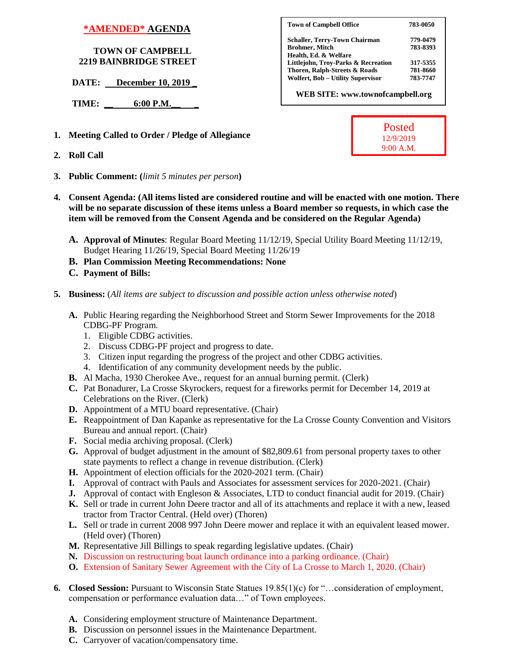## **\*AMENDED\* AGENDA**

## **TOWN OF CAMPBELL 2219 BAINBRIDGE STREET**

**DATE:** December 10, 2019

 **TIME: \_\_ 6:00 P.M.\_\_ \_**

- **1. Meeting Called to Order / Pledge of Allegiance**
- **2. Roll Call**
- **3. Public Comment: (***limit 5 minutes per person***)**
- **4. Consent Agenda: (All items listed are considered routine and will be enacted with one motion. There will be no separate discussion of these items unless a Board member so requests, in which case the item will be removed from the Consent Agenda and be considered on the Regular Agenda)**
	- **A. Approval of Minutes**: Regular Board Meeting 11/12/19, Special Utility Board Meeting 11/12/19, Budget Hearing 11/26/19, Special Board Meeting 11/26/19
	- **B. Plan Commission Meeting Recommendations: None**
	- **C. Payment of Bills:**
- **5. Business:** (*All items are subject to discussion and possible action unless otherwise noted*)
	- **A.** Public Hearing regarding the Neighborhood Street and Storm Sewer Improvements for the 2018 CDBG-PF Program.
		- 1. Eligible CDBG activities.
		- 2. Discuss CDBG-PF project and progress to date.
		- 3. Citizen input regarding the progress of the project and other CDBG activities.
		- 4. Identification of any community development needs by the public.
	- **B.** Al Macha, 1930 Cherokee Ave., request for an annual burning permit. (Clerk)
	- **C.** Pat Bonadurer, La Crosse Skyrockers, request for a fireworks permit for December 14, 2019 at Celebrations on the River. (Clerk)
	- **D.** Appointment of a MTU board representative. (Chair)
	- **E.** Reappointment of Dan Kapanke as representative for the La Crosse County Convention and Visitors Bureau and annual report. (Chair)
	- **F.** Social media archiving proposal. (Clerk)
	- **G.** Approval of budget adjustment in the amount of \$82,809.61 from personal property taxes to other state payments to reflect a change in revenue distribution. (Clerk)
	- **H.** Appointment of election officials for the 2020-2021 term. (Chair)
	- **I.** Approval of contract with Pauls and Associates for assessment services for 2020-2021. (Chair)
	- **J.** Approval of contact with Engleson & Associates, LTD to conduct financial audit for 2019. (Chair)
	- **K.** Sell or trade in current John Deere tractor and all of its attachments and replace it with a new, leased tractor from Tractor Central. (Held over) (Thoren)
	- **L.** Sell or trade in current 2008 997 John Deere mower and replace it with an equivalent leased mower. (Held over) (Thoren)
	- **M.** Representative Jill Billings to speak regarding legislative updates. (Chair)
	- **N.** Discussion on restructuring boat launch ordinance into a parking ordinance. (Chair)
	- **O.** Extension of Sanitary Sewer Agreement with the City of La Crosse to March 1, 2020. (Chair)
- **6. Closed Session:** Pursuant to Wisconsin State Statues 19.85(1)(c) for "…consideration of employment, compensation or performance evaluation data…" of Town employees.
	- **A.** Considering employment structure of Maintenance Department.
	- **B.** Discussion on personnel issues in the Maintenance Department.
	- **C.** Carryover of vacation/compensatory time.

| 783-0050 |
|----------|
| 779-0479 |
| 783-8393 |
|          |
| 317-5355 |
| 781-8660 |
| 783-7747 |
|          |

 **WEB SITE: www.townofcampbell.org**